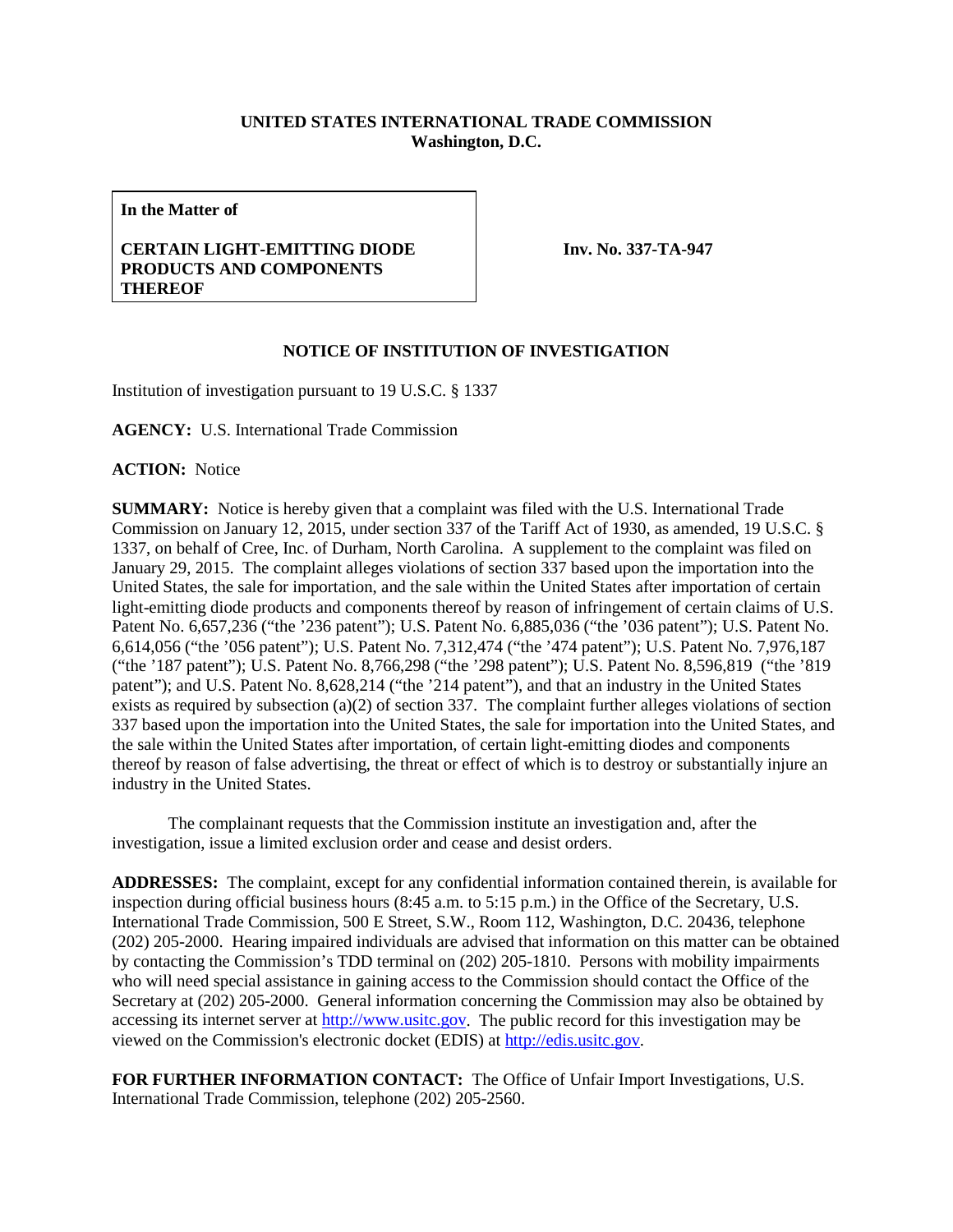## **UNITED STATES INTERNATIONAL TRADE COMMISSION Washington, D.C.**

**In the Matter of**

## **CERTAIN LIGHT-EMITTING DIODE PRODUCTS AND COMPONENTS THEREOF**

**Inv. No. 337-TA-947**

## **NOTICE OF INSTITUTION OF INVESTIGATION**

Institution of investigation pursuant to 19 U.S.C. § 1337

**AGENCY:** U.S. International Trade Commission

**ACTION:** Notice

**SUMMARY:** Notice is hereby given that a complaint was filed with the U.S. International Trade Commission on January 12, 2015, under section 337 of the Tariff Act of 1930, as amended, 19 U.S.C. § 1337, on behalf of Cree, Inc. of Durham, North Carolina. A supplement to the complaint was filed on January 29, 2015. The complaint alleges violations of section 337 based upon the importation into the United States, the sale for importation, and the sale within the United States after importation of certain light-emitting diode products and components thereof by reason of infringement of certain claims of U.S. Patent No. 6,657,236 ("the '236 patent"); U.S. Patent No. 6,885,036 ("the '036 patent"); U.S. Patent No. 6,614,056 ("the '056 patent"); U.S. Patent No. 7,312,474 ("the '474 patent"); U.S. Patent No. 7,976,187 ("the '187 patent"); U.S. Patent No. 8,766,298 ("the '298 patent"); U.S. Patent No. 8,596,819 ("the '819 patent"); and U.S. Patent No. 8,628,214 ("the '214 patent"), and that an industry in the United States exists as required by subsection (a)(2) of section 337. The complaint further alleges violations of section 337 based upon the importation into the United States, the sale for importation into the United States, and the sale within the United States after importation, of certain light-emitting diodes and components thereof by reason of false advertising, the threat or effect of which is to destroy or substantially injure an industry in the United States.

The complainant requests that the Commission institute an investigation and, after the investigation, issue a limited exclusion order and cease and desist orders.

**ADDRESSES:** The complaint, except for any confidential information contained therein, is available for inspection during official business hours (8:45 a.m. to 5:15 p.m.) in the Office of the Secretary, U.S. International Trade Commission, 500 E Street, S.W., Room 112, Washington, D.C. 20436, telephone (202) 205-2000. Hearing impaired individuals are advised that information on this matter can be obtained by contacting the Commission's TDD terminal on (202) 205-1810. Persons with mobility impairments who will need special assistance in gaining access to the Commission should contact the Office of the Secretary at (202) 205-2000. General information concerning the Commission may also be obtained by accessing its internet server a[t http://www.usitc.gov.](http://www.usitc.gov/) The public record for this investigation may be viewed on the Commission's electronic docket (EDIS) at [http://edis.usitc.gov.](http://edis.usitc.gov/)

**FOR FURTHER INFORMATION CONTACT:** The Office of Unfair Import Investigations, U.S. International Trade Commission, telephone (202) 205-2560.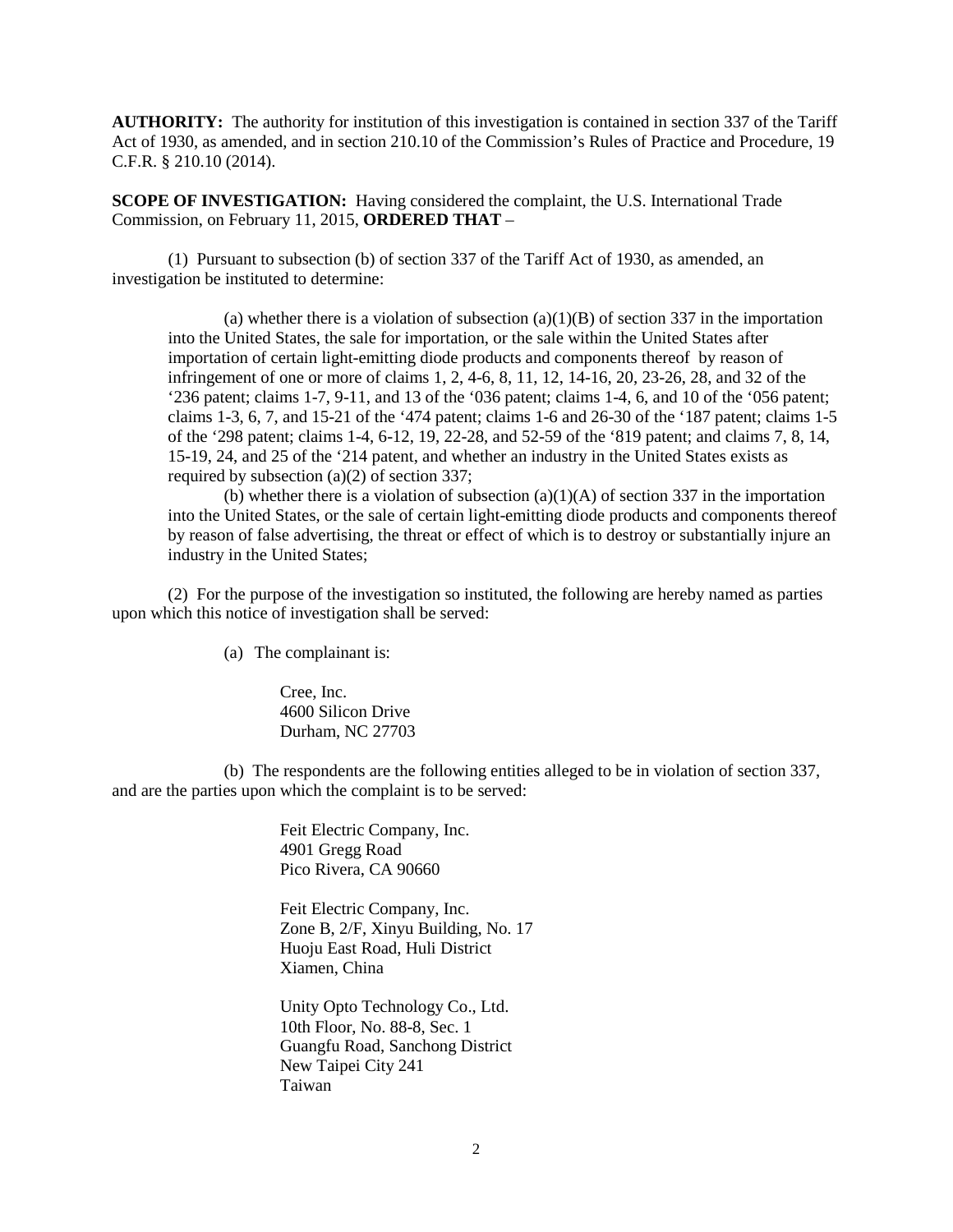**AUTHORITY:** The authority for institution of this investigation is contained in section 337 of the Tariff Act of 1930, as amended, and in section 210.10 of the Commission's Rules of Practice and Procedure, 19 C.F.R. § 210.10 (2014).

**SCOPE OF INVESTIGATION:** Having considered the complaint, the U.S. International Trade Commission, on February 11, 2015, **ORDERED THAT** –

(1) Pursuant to subsection (b) of section 337 of the Tariff Act of 1930, as amended, an investigation be instituted to determine:

(a) whether there is a violation of subsection  $(a)(1)(B)$  of section 337 in the importation into the United States, the sale for importation, or the sale within the United States after importation of certain light-emitting diode products and components thereof by reason of infringement of one or more of claims 1, 2, 4-6, 8, 11, 12, 14-16, 20, 23-26, 28, and 32 of the '236 patent; claims 1-7, 9-11, and 13 of the '036 patent; claims 1-4, 6, and 10 of the '056 patent; claims 1-3, 6, 7, and 15-21 of the '474 patent; claims 1-6 and 26-30 of the '187 patent; claims 1-5 of the '298 patent; claims 1-4, 6-12, 19, 22-28, and 52-59 of the '819 patent; and claims 7, 8, 14, 15-19, 24, and 25 of the '214 patent, and whether an industry in the United States exists as required by subsection (a)(2) of section 337;

(b) whether there is a violation of subsection  $(a)(1)(A)$  of section 337 in the importation into the United States, or the sale of certain light-emitting diode products and components thereof by reason of false advertising, the threat or effect of which is to destroy or substantially injure an industry in the United States;

(2) For the purpose of the investigation so instituted, the following are hereby named as parties upon which this notice of investigation shall be served:

(a) The complainant is:

Cree, Inc. 4600 Silicon Drive Durham, NC 27703

(b) The respondents are the following entities alleged to be in violation of section 337, and are the parties upon which the complaint is to be served:

> Feit Electric Company, Inc. 4901 Gregg Road Pico Rivera, CA 90660

Feit Electric Company, Inc. Zone B, 2/F, Xinyu Building, No. 17 Huoju East Road, Huli District Xiamen, China

Unity Opto Technology Co., Ltd. 10th Floor, No. 88-8, Sec. 1 Guangfu Road, Sanchong District New Taipei City 241 Taiwan